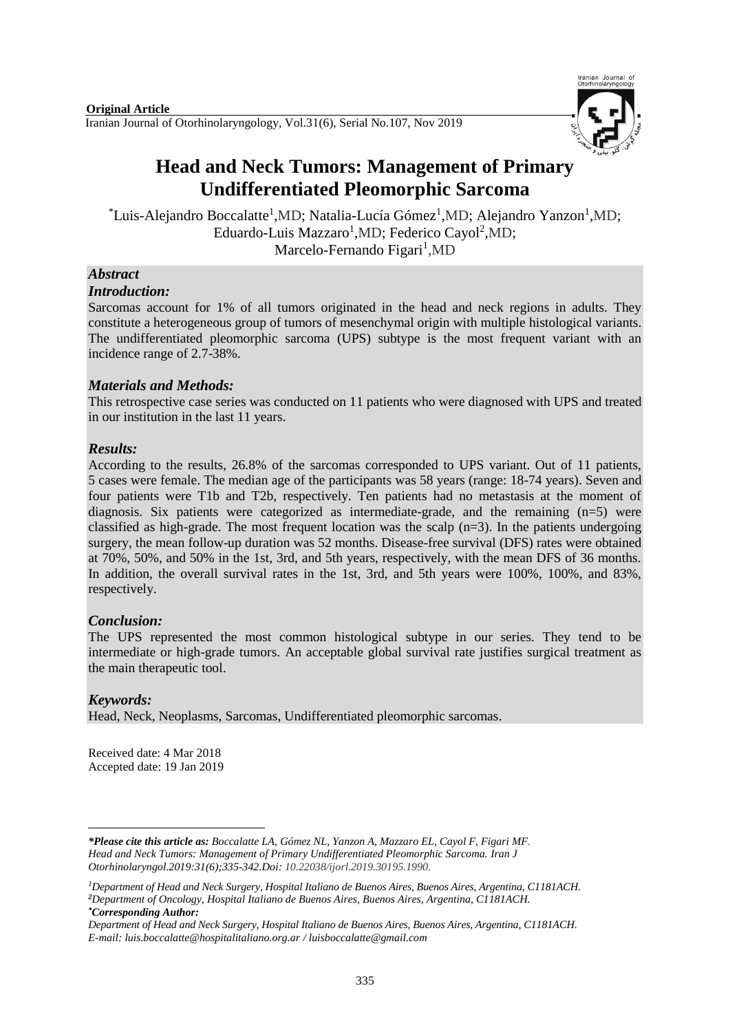

# **Head and Neck Tumors: Management of Primary Undifferentiated Pleomorphic Sarcoma**

 $\textsuperscript{*}$ Luis-Alejandro Boccalatte<sup>1</sup>,MD; Natalia-Lucía Gómez<sup>1</sup>,MD; Alejandro Yanzon<sup>1</sup>,MD; Eduardo-Luis Mazzaro<sup>1</sup>,MD; Federico Cayol<sup>2</sup>,MD; Marcelo-Fernando Figari<sup>1</sup>,MD

# *Abstract*

### *Introduction:*

Sarcomas account for 1% of all tumors originated in the head and neck regions in adults. They constitute a heterogeneous group of tumors of mesenchymal origin with multiple histological variants. The undifferentiated pleomorphic sarcoma (UPS) subtype is the most frequent variant with an incidence range of 2.7-38%.

# *Materials and Methods:*

This retrospective case series was conducted on 11 patients who were diagnosed with UPS and treated in our institution in the last 11 years.

# *Results:*

According to the results, 26.8% of the sarcomas corresponded to UPS variant. Out of 11 patients, 5 cases were female. The median age of the participants was 58 years (range: 18-74 years). Seven and four patients were T1b and T2b, respectively. Ten patients had no metastasis at the moment of diagnosis. Six patients were categorized as intermediate-grade, and the remaining (n=5) were classified as high-grade. The most frequent location was the scalp  $(n=3)$ . In the patients undergoing surgery, the mean follow-up duration was 52 months. Disease-free survival (DFS) rates were obtained at 70%, 50%, and 50% in the 1st, 3rd, and 5th years, respectively, with the mean DFS of 36 months. In addition, the overall survival rates in the 1st, 3rd, and 5th years were 100%, 100%, and 83%, respectively.

# *Conclusion:*

The UPS represented the most common histological subtype in our series. They tend to be intermediate or high-grade tumors. An acceptable global survival rate justifies surgical treatment as the main therapeutic tool.

# *Keywords:*

Head, Neck, Neoplasms, Sarcomas, Undifferentiated pleomorphic sarcomas.

Received date: 4 Mar 2018 Accepted date: 19 Jan 2019

 $\overline{a}$ *\*Please cite this article as: Boccalatte LA, Gómez NL, Yanzon A, Mazzaro EL, Cayol F, Figari MF. Head and Neck Tumors: Management of Primary Undifferentiated Pleomorphic Sarcoma. [Iran J](https://www.ncbi.nlm.nih.gov/pubmed/?term=Tri-layer+Tympanoplasty+as+a+New+Technique+in+High-risk+Tympanic+Membrane+Perforations)  [Otorhinolaryngol.2](https://www.ncbi.nlm.nih.gov/pubmed/?term=Tri-layer+Tympanoplasty+as+a+New+Technique+in+High-risk+Tympanic+Membrane+Perforations)019:31(6);335-342.Doi: 10.22038/ijorl.2019.30195.1990.*

*<sup>1</sup>Department of Head and Neck Surgery, Hospital Italiano de Buenos Aires, Buenos Aires, Argentina, C1181ACH. <sup>2</sup>Department of Oncology, Hospital Italiano de Buenos Aires, Buenos Aires, Argentina, C1181ACH. \*Corresponding Author:*

*Department of Head and Neck Surgery, Hospital Italiano de Buenos Aires, Buenos Aires, Argentina, C1181ACH. E-mail: [luis.boccalatte@hospitalitaliano.org.ar](mailto:luis.boccalatte@hospitalitaliano.org.ar) / luisboccalatte@gmail.com*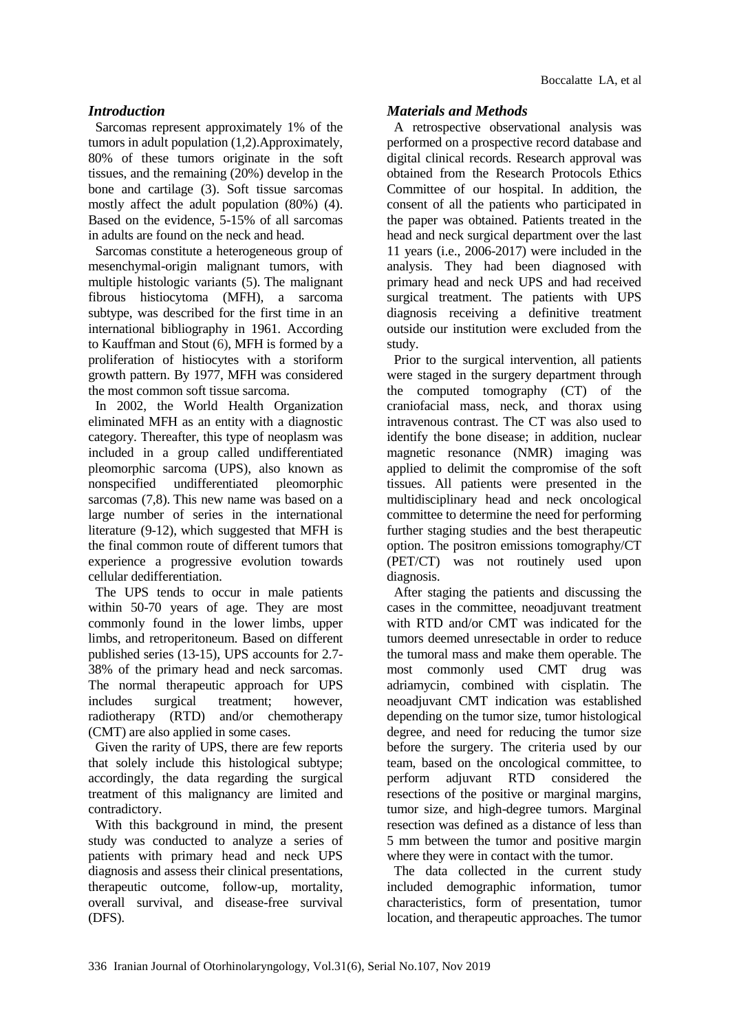### *Introduction*

Sarcomas represent approximately 1% of the tumors in adult population (1,2).Approximately, 80% of these tumors originate in the soft tissues, and the remaining (20%) develop in the bone and cartilage (3). Soft tissue sarcomas mostly affect the adult population (80%) (4). Based on the evidence, 5-15% of all sarcomas in adults are found on the neck and head.

Sarcomas constitute a heterogeneous group of mesenchymal-origin malignant tumors, with multiple histologic variants (5). The malignant fibrous histiocytoma (MFH), a sarcoma subtype, was described for the first time in an international bibliography in 1961. According to Kauffman and Stout (6), MFH is formed by a proliferation of histiocytes with a storiform growth pattern. By 1977, MFH was considered the most common soft tissue sarcoma.

In 2002, the World Health Organization eliminated MFH as an entity with a diagnostic category. Thereafter, this type of neoplasm was included in a group called undifferentiated pleomorphic sarcoma (UPS), also known as nonspecified undifferentiated pleomorphic sarcomas (7,8). This new name was based on a large number of series in the international literature (9-12), which suggested that MFH is the final common route of different tumors that experience a progressive evolution towards cellular dedifferentiation.

The UPS tends to occur in male patients within 50-70 years of age. They are most commonly found in the lower limbs, upper limbs, and retroperitoneum. Based on different published series (13-15), UPS accounts for 2.7- 38% of the primary head and neck sarcomas. The normal therapeutic approach for UPS includes surgical treatment; however, radiotherapy (RTD) and/or chemotherapy (CMT) are also applied in some cases.

Given the rarity of UPS, there are few reports that solely include this histological subtype; accordingly, the data regarding the surgical treatment of this malignancy are limited and contradictory.

With this background in mind, the present study was conducted to analyze a series of patients with primary head and neck UPS diagnosis and assess their clinical presentations, therapeutic outcome, follow-up, mortality, overall survival, and disease-free survival (DFS).

#### *Materials and Methods*

A retrospective observational analysis was performed on a prospective record database and digital clinical records. Research approval was obtained from the Research Protocols Ethics Committee of our hospital. In addition, the consent of all the patients who participated in the paper was obtained. Patients treated in the head and neck surgical department over the last 11 years (i.e., 2006-2017) were included in the analysis. They had been diagnosed with primary head and neck UPS and had received surgical treatment. The patients with UPS diagnosis receiving a definitive treatment outside our institution were excluded from the study.

Prior to the surgical intervention, all patients were staged in the surgery department through the computed tomography (CT) of the craniofacial mass, neck, and thorax using intravenous contrast. The CT was also used to identify the bone disease; in addition, nuclear magnetic resonance (NMR) imaging was applied to delimit the compromise of the soft tissues. All patients were presented in the multidisciplinary head and neck oncological committee to determine the need for performing further staging studies and the best therapeutic option. The positron emissions tomography/CT (PET/CT) was not routinely used upon diagnosis.

After staging the patients and discussing the cases in the committee, neoadjuvant treatment with RTD and/or CMT was indicated for the tumors deemed unresectable in order to reduce the tumoral mass and make them operable. The most commonly used CMT drug was adriamycin, combined with cisplatin. The neoadjuvant CMT indication was established depending on the tumor size, tumor histological degree, and need for reducing the tumor size before the surgery. The criteria used by our team, based on the oncological committee, to perform adjuvant RTD considered the resections of the positive or marginal margins, tumor size, and high-degree tumors. Marginal resection was defined as a distance of less than 5 mm between the tumor and positive margin where they were in contact with the tumor.

The data collected in the current study included demographic information, tumor characteristics, form of presentation, tumor location, and therapeutic approaches. The tumor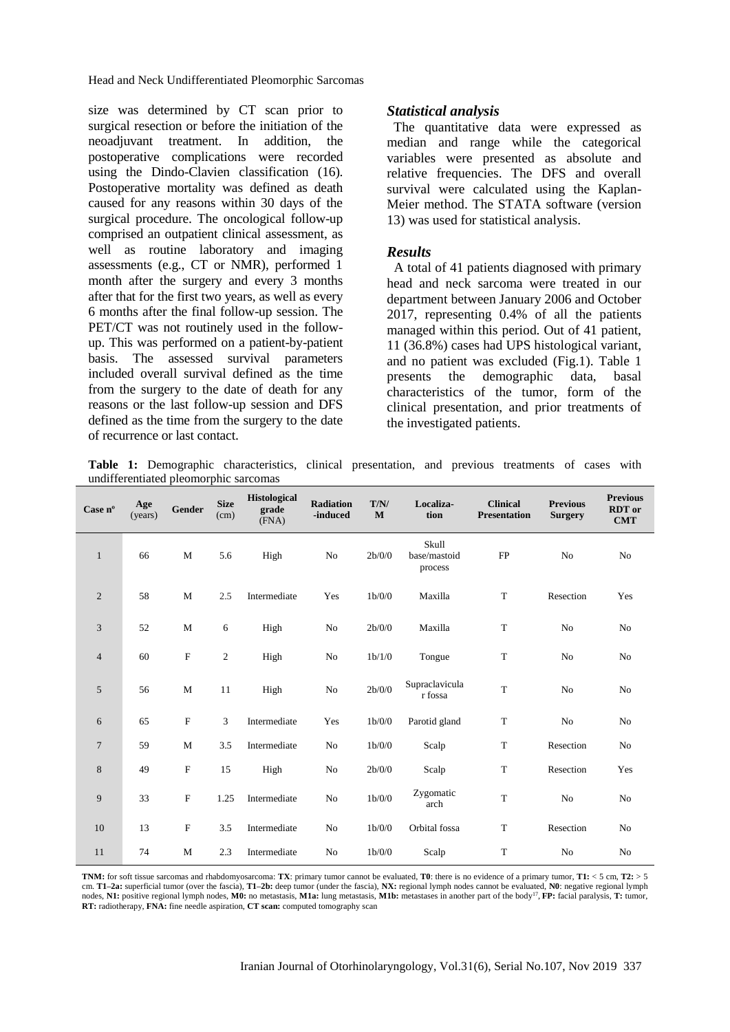Head and Neck Undifferentiated Pleomorphic Sarcomas

size was determined by CT scan prior to surgical resection or before the initiation of the neoadjuvant treatment. In addition, the postoperative complications were recorded using the Dindo-Clavien classification (16). Postoperative mortality was defined as death caused for any reasons within 30 days of the surgical procedure. The oncological follow-up comprised an outpatient clinical assessment, as well as routine laboratory and imaging assessments (e.g., CT or NMR), performed 1 month after the surgery and every 3 months after that for the first two years, as well as every 6 months after the final follow-up session. The PET/CT was not routinely used in the followup. This was performed on a patient-by-patient basis. The assessed survival parameters included overall survival defined as the time from the surgery to the date of death for any reasons or the last follow-up session and DFS defined as the time from the surgery to the date of recurrence or last contact.

#### *Statistical analysis*

 The quantitative data were expressed as median and range while the categorical variables were presented as absolute and relative frequencies. The DFS and overall survival were calculated using the Kaplan-Meier method. The STATA software (version 13) was used for statistical analysis.

#### *Results*

A total of 41 patients diagnosed with primary head and neck sarcoma were treated in our department between January 2006 and October 2017, representing 0.4% of all the patients managed within this period. Out of 41 patient, 11 (36.8%) cases had UPS histological variant, and no patient was excluded (Fig.1). Table 1 presents the demographic data, basal characteristics of the tumor, form of the clinical presentation, and prior treatments of the investigated patients.

**Table 1:** Demographic characteristics, clinical presentation, and previous treatments of cases with undifferentiated pleomorphic sarcomas

| Case $n^{\circ}$ | Age<br>(years) | Gender      | <b>Size</b><br>(cm) | <b>Histological</b><br>grade<br>(FNA) | <b>Radiation</b><br>-induced | T/N/<br>$\mathbf{M}$ | Localiza-<br>tion                | <b>Clinical</b><br><b>Presentation</b> | <b>Previous</b><br><b>Surgery</b> | <b>Previous</b><br><b>RDT</b> or<br><b>CMT</b> |
|------------------|----------------|-------------|---------------------|---------------------------------------|------------------------------|----------------------|----------------------------------|----------------------------------------|-----------------------------------|------------------------------------------------|
| $\mathbf{1}$     | 66             | M           | 5.6                 | High                                  | No                           | 2b/0/0               | Skull<br>base/mastoid<br>process | FP                                     | No                                | No                                             |
| $\mathbf{2}$     | 58             | $\mathbf M$ | 2.5                 | Intermediate                          | Yes                          | 1b/0/0               | Maxilla                          | $\mathbf T$                            | Resection                         | Yes                                            |
| 3                | 52             | $\mathbf M$ | 6                   | High                                  | No                           | 2b/0/0               | Maxilla                          | $\mathbf T$                            | No                                | No                                             |
| 4                | 60             | $\mathbf F$ | 2                   | High                                  | No                           | 1b/1/0               | Tongue                           | $\mathbf T$                            | No                                | No                                             |
| 5                | 56             | $\mathbf M$ | 11                  | High                                  | No                           | 2b/0/0               | Supraclavicula<br>r fossa        | $\mathbf T$                            | No                                | No                                             |
| 6                | 65             | $\mathbf F$ | 3                   | Intermediate                          | Yes                          | 1b/0/0               | Parotid gland                    | $\mathbf T$                            | No                                | No                                             |
| 7                | 59             | $\mathbf M$ | 3.5                 | Intermediate                          | No                           | 1b/0/0               | Scalp                            | $\mathbf T$                            | Resection                         | No                                             |
| 8                | 49             | $\mathbf F$ | 15                  | High                                  | No                           | 2b/0/0               | Scalp                            | $\mathbf T$                            | Resection                         | Yes                                            |
| 9                | 33             | $\mathbf F$ | 1.25                | Intermediate                          | No                           | 1b/0/0               | Zygomatic<br>arch                | $\mathbf T$                            | No                                | No                                             |
| 10               | 13             | $\rm F$     | 3.5                 | Intermediate                          | No                           | 1b/0/0               | Orbital fossa                    | $\mathbf T$                            | Resection                         | N <sub>o</sub>                                 |
| 11               | 74             | M           | 2.3                 | Intermediate                          | No                           | 1b/0/0               | Scalp                            | T                                      | No                                | No                                             |

**TNM:** for soft tissue sarcomas and rhabdomyosarcoma: **TX**: primary tumor cannot be evaluated, **T0**: there is no evidence of a primary tumor, **T1:** < 5 cm, **T2:** > 5 cm. **T1–2a:** superficial tumor (over the fascia), **T1–2b:** deep tumor (under the fascia), **NX:** regional lymph nodes cannot be evaluated, **N0**: negative regional lymph nodes, **N1:** positive regional lymph nodes, **M0:** no metastasis, **M1a:** lung metastasis, **M1b:** metastases in another part of the body<sup>17</sup> , **FP:** facial paralysis, **T:** tumor, **RT:** radiotherapy, **FNA:** fine needle aspiration, **CT scan:** computed tomography scan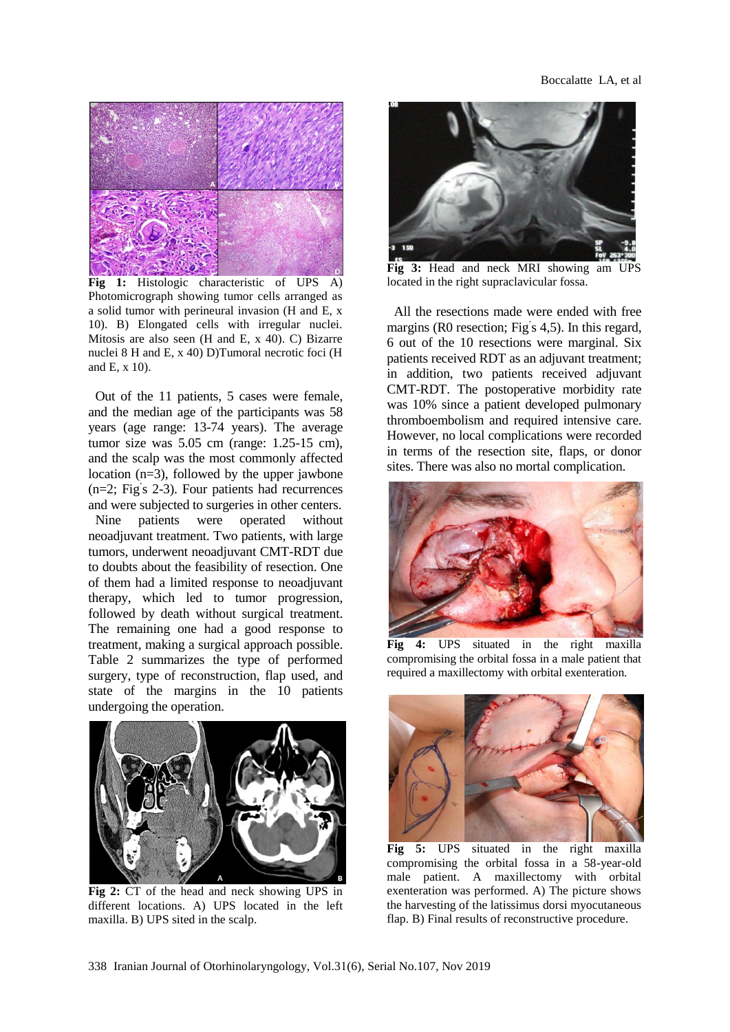

**Fig 1:** Histologic characteristic of UPS A) Photomicrograph showing tumor cells arranged as a solid tumor with perineural invasion (H and E, x 10). B) Elongated cells with irregular nuclei. Mitosis are also seen (H and E, x 40). C) Bizarre nuclei 8 H and E, x 40) D)Tumoral necrotic foci (H and E, x 10).

Out of the 11 patients, 5 cases were female, and the median age of the participants was 58 years (age range: 13-74 years). The average tumor size was 5.05 cm (range: 1.25-15 cm), and the scalp was the most commonly affected location (n=3), followed by the upper jawbone (n=2; Fig' s 2-3). Four patients had recurrences and were subjected to surgeries in other centers.

Nine patients were operated without neoadjuvant treatment. Two patients, with large tumors, underwent neoadjuvant CMT-RDT due to doubts about the feasibility of resection. One of them had a limited response to neoadjuvant therapy, which led to tumor progression, followed by death without surgical treatment. The remaining one had a good response to treatment, making a surgical approach possible. Table 2 summarizes the type of performed surgery, type of reconstruction, flap used, and state of the margins in the 10 patients undergoing the operation.



**Fig 2:** CT of the head and neck showing UPS in different locations. A) UPS located in the left maxilla. B) UPS sited in the scalp.



**Fig 3:** Head and neck MRI showing am UPS located in the right supraclavicular fossa.

All the resections made were ended with free margins (R0 resection; Fig' s 4,5). In this regard, 6 out of the 10 resections were marginal. Six patients received RDT as an adjuvant treatment; in addition, two patients received adjuvant CMT-RDT. The postoperative morbidity rate was 10% since a patient developed pulmonary thromboembolism and required intensive care. However, no local complications were recorded in terms of the resection site, flaps, or donor sites. There was also no mortal complication.



**Fig 4:** UPS situated in the right maxilla compromising the orbital fossa in a male patient that required a maxillectomy with orbital exenteration.



**Fig 5:** UPS situated in the right maxilla compromising the orbital fossa in a 58-year-old male patient. A maxillectomy with orbital exenteration was performed. A) The picture shows the harvesting of the latissimus dorsi myocutaneous flap. B) Final results of reconstructive procedure.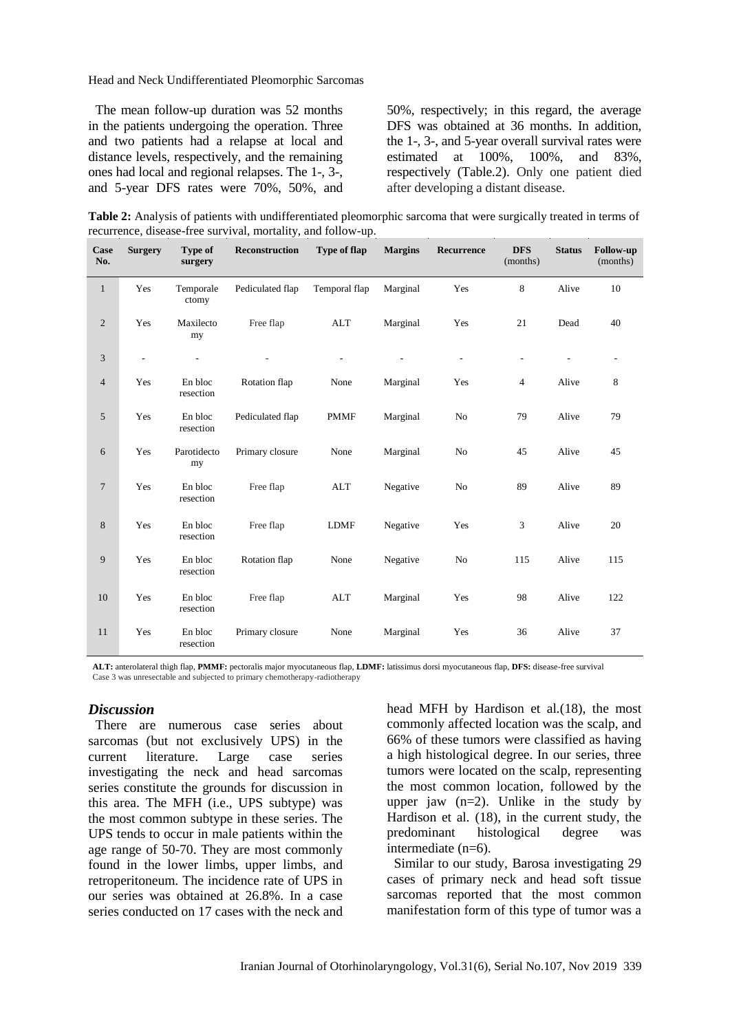Head and Neck Undifferentiated Pleomorphic Sarcomas

The mean follow-up duration was 52 months in the patients undergoing the operation. Three and two patients had a relapse at local and distance levels, respectively, and the remaining ones had local and regional relapses. The 1-, 3-, and 5-year DFS rates were 70%, 50%, and 50%, respectively; in this regard, the average DFS was obtained at 36 months. In addition, the 1-, 3-, and 5-year overall survival rates were estimated at 100%, 100%, and 83%, respectively (Table*.*2). Only one patient died after developing a distant disease.

**Table 2:** Analysis of patients with undifferentiated pleomorphic sarcoma that were surgically treated in terms of recurrence, disease-free survival, mortality, and follow-up.

| Case<br>No.    | <b>Surgery</b>           | Type of<br>surgery   | <b>Reconstruction</b> | Type of flap  | <b>Margins</b> | Recurrence     | <b>DFS</b><br>(months)   | <b>Status</b> | <b>Follow-up</b><br>(months) |
|----------------|--------------------------|----------------------|-----------------------|---------------|----------------|----------------|--------------------------|---------------|------------------------------|
| $\mathbf{1}$   | Yes                      | Temporale<br>ctomy   | Pediculated flap      | Temporal flap | Marginal       | Yes            | 8                        | Alive         | 10                           |
| 2              | Yes                      | Maxilecto<br>my      | Free flap             | <b>ALT</b>    | Marginal       | Yes            | 21                       | Dead          | 40                           |
| $\mathfrak{Z}$ | $\overline{\phantom{0}}$ | ÷,                   |                       |               |                | $\overline{a}$ | $\overline{\phantom{a}}$ |               | -                            |
| $\overline{4}$ | Yes                      | En bloc<br>resection | Rotation flap         | None          | Marginal       | Yes            | $\overline{4}$           | Alive         | 8                            |
| 5              | Yes                      | En bloc<br>resection | Pediculated flap      | <b>PMMF</b>   | Marginal       | No             | 79                       | Alive         | 79                           |
| 6              | Yes                      | Parotidecto<br>my    | Primary closure       | None          | Marginal       | No             | 45                       | Alive         | 45                           |
| $\overline{7}$ | Yes                      | En bloc<br>resection | Free flap             | <b>ALT</b>    | Negative       | No             | 89                       | Alive         | 89                           |
| 8              | Yes                      | En bloc<br>resection | Free flap             | <b>LDMF</b>   | Negative       | Yes            | $\sqrt{3}$               | Alive         | 20                           |
| 9              | Yes                      | En bloc<br>resection | Rotation flap         | None          | Negative       | No             | 115                      | Alive         | 115                          |
| 10             | Yes                      | En bloc<br>resection | Free flap             | <b>ALT</b>    | Marginal       | Yes            | 98                       | Alive         | 122                          |
| 11             | Yes                      | En bloc<br>resection | Primary closure       | None          | Marginal       | Yes            | 36                       | Alive         | 37                           |

**ALT:** anterolateral thigh flap, **PMMF:** pectoralis major myocutaneous flap, **LDMF:** latissimus dorsi myocutaneous flap, **DFS:** disease-free survival Case 3 was unresectable and subjected to primary chemotherapy-radiotherapy

#### *Discussion*

There are numerous case series about sarcomas (but not exclusively UPS) in the current literature. Large case series investigating the neck and head sarcomas series constitute the grounds for discussion in this area. The MFH (i.e., UPS subtype) was the most common subtype in these series. The UPS tends to occur in male patients within the age range of 50-70. They are most commonly found in the lower limbs, upper limbs, and retroperitoneum. The incidence rate of UPS in our series was obtained at 26.8%. In a case series conducted on 17 cases with the neck and

head MFH by Hardison et al*.*(18), the most commonly affected location was the scalp, and 66% of these tumors were classified as having a high histological degree. In our series, three tumors were located on the scalp, representing the most common location, followed by the upper jaw  $(n=2)$ . Unlike in the study by Hardison et al.  $(18)$ , in the current study, the predominant histological degree was intermediate (n=6).

Similar to our study, Barosa investigating 29 cases of primary neck and head soft tissue sarcomas reported that the most common manifestation form of this type of tumor was a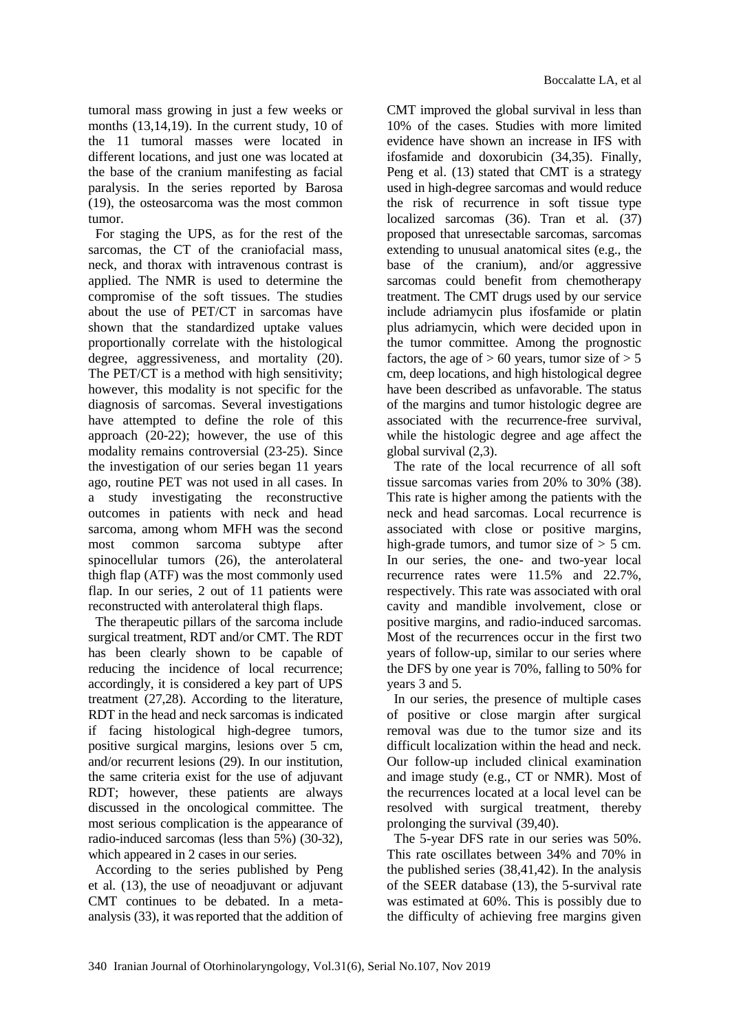tumoral mass growing in just a few weeks or months (13,14,19). In the current study, 10 of the 11 tumoral masses were located in different locations, and just one was located at the base of the cranium manifesting as facial paralysis. In the series reported by Barosa (19), the osteosarcoma was the most common tumor.

For staging the UPS, as for the rest of the sarcomas, the CT of the craniofacial mass, neck, and thorax with intravenous contrast is applied. The NMR is used to determine the compromise of the soft tissues. The studies about the use of PET/CT in sarcomas have shown that the standardized uptake values proportionally correlate with the histological degree, aggressiveness, and mortality  $(20)$ . The PET/CT is a method with high sensitivity; however, this modality is not specific for the diagnosis of sarcomas. Several investigations have attempted to define the role of this approach (20-22); however, the use of this modality remains controversial (23-25). Since the investigation of our series began 11 years ago, routine PET was not used in all cases. In a study investigating the reconstructive outcomes in patients with neck and head sarcoma, among whom MFH was the second most common sarcoma subtype after spinocellular tumors (26), the anterolateral thigh flap (ATF) was the most commonly used flap. In our series, 2 out of 11 patients were reconstructed with anterolateral thigh flaps.

The therapeutic pillars of the sarcoma include surgical treatment, RDT and/or CMT. The RDT has been clearly shown to be capable of reducing the incidence of local recurrence; accordingly, it is considered a key part of UPS treatment (27,28). According to the literature, RDT in the head and neck sarcomas is indicated if facing histological high-degree tumors, positive surgical margins, lesions over 5 cm, and/or recurrent lesions (29). In our institution, the same criteria exist for the use of adjuvant RDT; however, these patients are always discussed in the oncological committee. The most serious complication is the appearance of radio-induced sarcomas (less than 5%) (30-32), which appeared in 2 cases in our series.

According to the series published by Peng et al*.* (13), the use of neoadjuvant or adjuvant CMT continues to be debated. In a metaanalysis (33), it wasreported that the addition of

CMT improved the global survival in less than 10% of the cases. Studies with more limited evidence have shown an increase in IFS with ifosfamide and doxorubicin (34,35). Finally, Peng et al. (13) stated that CMT is a strategy used in high-degree sarcomas and would reduce the risk of recurrence in soft tissue type localized sarcomas (36). Tran et al*.* (37) proposed that unresectable sarcomas, sarcomas extending to unusual anatomical sites (e.g., the base of the cranium), and/or aggressive sarcomas could benefit from chemotherapy treatment. The CMT drugs used by our service include adriamycin plus ifosfamide or platin plus adriamycin, which were decided upon in the tumor committee. Among the prognostic factors, the age of  $> 60$  years, tumor size of  $> 5$ cm, deep locations, and high histological degree have been described as unfavorable. The status of the margins and tumor histologic degree are associated with the recurrence-free survival, while the histologic degree and age affect the global survival (2,3).

The rate of the local recurrence of all soft tissue sarcomas varies from 20% to 30% (38). This rate is higher among the patients with the neck and head sarcomas. Local recurrence is associated with close or positive margins, high-grade tumors, and tumor size of  $> 5$  cm. In our series, the one- and two-year local recurrence rates were 11.5% and 22.7%, respectively. This rate was associated with oral cavity and mandible involvement, close or positive margins, and radio-induced sarcomas. Most of the recurrences occur in the first two years of follow-up, similar to our series where the DFS by one year is 70%, falling to 50% for years 3 and 5.

In our series, the presence of multiple cases of positive or close margin after surgical removal was due to the tumor size and its difficult localization within the head and neck. Our follow-up included clinical examination and image study (e.g., CT or NMR). Most of the recurrences located at a local level can be resolved with surgical treatment, thereby prolonging the survival (39,40).

The 5-year DFS rate in our series was 50%. This rate oscillates between 34% and 70% in the published series (38,41,42). In the analysis of the SEER database (13), the 5-survival rate was estimated at 60%. This is possibly due to the difficulty of achieving free margins given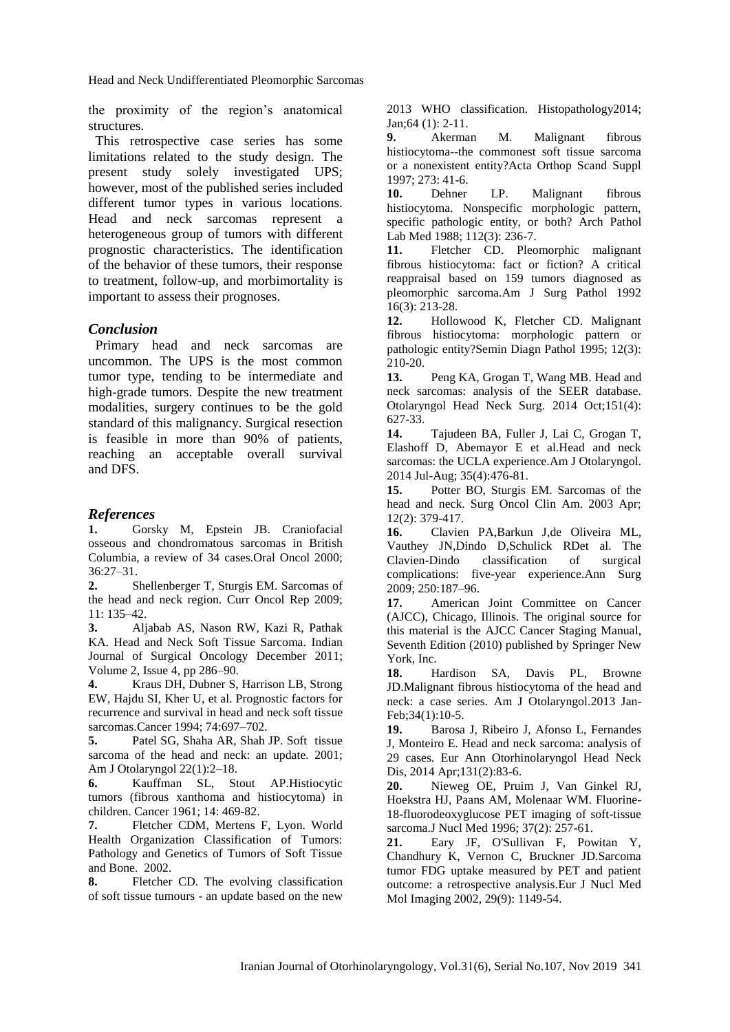Head and Neck Undifferentiated Pleomorphic Sarcomas

the proximity of the region's anatomical structures.

This retrospective case series has some limitations related to the study design. The present study solely investigated UPS; however, most of the published series included different tumor types in various locations. Head and neck sarcomas represent a heterogeneous group of tumors with different prognostic characteristics. The identification of the behavior of these tumors, their response to treatment, follow-up, and morbimortality is important to assess their prognoses.

#### *Conclusion*

Primary head and neck sarcomas are uncommon. The UPS is the most common tumor type, tending to be intermediate and high-grade tumors. Despite the new treatment modalities, surgery continues to be the gold standard of this malignancy. Surgical resection is feasible in more than 90% of patients, reaching an acceptable overall survival and DFS.

#### *References*

**1.** Gorsky M, Epstein JB. Craniofacial osseous and chondromatous sarcomas in British Columbia, a review of 34 cases.Oral Oncol 2000; 36:27–31.

**2.** Shellenberger T, Sturgis EM. Sarcomas of the head and neck region. Curr Oncol Rep 2009; 11: 135–42.

**3.** Aljabab AS, Nason RW, Kazi R, Pathak KA. Head and Neck Soft Tissue Sarcoma. [Indian](https://link.springer.com/journal/13193)  [Journal of Surgical Oncology](https://link.springer.com/journal/13193) December 2011; Volume 2[, Issue 4,](https://link.springer.com/journal/13193/2/4/page/1) pp 286–90.

**4.** Kraus DH, Dubner S, Harrison LB, Strong EW, Hajdu SI, Kher U, et al. Prognostic factors for recurrence and survival in head and neck soft tissue sarcomas.Cancer 1994; 74:697–702.

**5.** Patel SG, Shaha AR, Shah JP. Soft tissue sarcoma of the head and neck: an update. 2001; Am J Otolaryngol 22(1):2–18.

**6.** Kauffman SL, Stout AP.Histiocytic tumors (fibrous xanthoma and histiocytoma) in children. Cancer 1961; 14: 469-82.

**7.** Fletcher CDM, Mertens F, Lyon. World Health Organization Classification of Tumors: Pathology and Genetics of Tumors of Soft Tissue and Bone. 2002.

**8.** [Fletcher CD.](https://www.ncbi.nlm.nih.gov/pubmed/?term=Fletcher%20CD%5BAuthor%5D&cauthor=true&cauthor_uid=24164390) The evolving classification of soft tissue tumours - an update based on the new

2013 WHO classification. [Histopathology2](https://www.ncbi.nlm.nih.gov/pubmed/24164390)014; Jan;64 (1): 2-11.

**9.** Akerman M. Malignant fibrous histiocytoma--the commonest soft tissue sarcoma or a nonexistent entity?Acta Orthop Scand Suppl 1997; 273: 41-6.

**10.** Dehner LP. Malignant fibrous histiocytoma. Nonspecific morphologic pattern, specific pathologic entity, or both? Arch Pathol Lab Med 1988; 112(3): 236-7.

**11.** Fletcher CD. Pleomorphic malignant fibrous histiocytoma: fact or fiction? A critical reappraisal based on 159 tumors diagnosed as pleomorphic sarcoma.Am J Surg Pathol 1992 16(3): 213-28.

**12.** Hollowood K, Fletcher CD. Malignant fibrous histiocytoma: morphologic pattern or pathologic entity?Semin Diagn Pathol 1995; 12(3): 210-20.

**13.** [Peng KA,](https://www.ncbi.nlm.nih.gov/pubmed/?term=Peng%20KA%5BAuthor%5D&cauthor=true&cauthor_uid=25135525) [Grogan T,](https://www.ncbi.nlm.nih.gov/pubmed/?term=Grogan%20T%5BAuthor%5D&cauthor=true&cauthor_uid=25135525) [Wang MB.](https://www.ncbi.nlm.nih.gov/pubmed/?term=Wang%20MB%5BAuthor%5D&cauthor=true&cauthor_uid=25135525) Head and neck sarcomas: analysis of the SEER database. [Otolaryngol Head Neck Surg.](https://www.ncbi.nlm.nih.gov/pubmed/25135525) 2014 Oct;151(4): 627-33.

**14.** Tajudeen BA, Fuller J, Lai C, Grogan T, Elashoff D, Abemayor E et al.Head and neck sarcomas: the UCLA experience[.Am J Otolaryngol.](https://www.ncbi.nlm.nih.gov/pubmed/24721744) 2014 Jul-Aug; 35(4):476-81.

**15.** Potter BO, Sturgis EM. Sarcomas of the head and neck. Surg Oncol Clin Am. 2003 Apr; 12(2): 379-417.

**16.** [Clavien PA](https://www.ncbi.nlm.nih.gov/pubmed/?term=Clavien%20PA%5BAuthor%5D&cauthor=true&cauthor_uid=19638912)[,Barkun J](https://www.ncbi.nlm.nih.gov/pubmed/?term=Barkun%20J%5BAuthor%5D&cauthor=true&cauthor_uid=19638912)[,de Oliveira ML,](https://www.ncbi.nlm.nih.gov/pubmed/?term=de%20Oliveira%20ML%5BAuthor%5D&cauthor=true&cauthor_uid=19638912) [Vauthey JN,](https://www.ncbi.nlm.nih.gov/pubmed/?term=Vauthey%20JN%5BAuthor%5D&cauthor=true&cauthor_uid=19638912)[Dindo D](https://www.ncbi.nlm.nih.gov/pubmed/?term=Dindo%20D%5BAuthor%5D&cauthor=true&cauthor_uid=19638912)[,Schulick RDe](https://www.ncbi.nlm.nih.gov/pubmed/?term=Schulick%20RD%5BAuthor%5D&cauthor=true&cauthor_uid=19638912)t al. The Clavien-Dindo classification of surgical complications: five-year experience.Ann Surg 2009; 250:187–96.

**17.** American Joint Committee on Cancer (AJCC), Chicago, Illinois. The original source for this material is the AJCC Cancer Staging Manual, Seventh Edition (2010) published by Springer New York, Inc.

**18.** [Hardison SA,](https://www.ncbi.nlm.nih.gov/pubmed/?term=Hardison%20SA%5BAuthor%5D&cauthor=true&cauthor_uid=22999710) [Davis PL,](https://www.ncbi.nlm.nih.gov/pubmed/?term=Davis%20PL%203rd%5BAuthor%5D&cauthor=true&cauthor_uid=22999710) [Browne](https://www.ncbi.nlm.nih.gov/pubmed/?term=Browne%20JD%5BAuthor%5D&cauthor=true&cauthor_uid=22999710)  [JD.](https://www.ncbi.nlm.nih.gov/pubmed/?term=Browne%20JD%5BAuthor%5D&cauthor=true&cauthor_uid=22999710)Malignant fibrous histiocytoma of the head and neck: a case series. [Am J Otolaryngol.2](https://www.ncbi.nlm.nih.gov/pubmed/22999710)013 Jan-Feb;34(1):10-5.

**19.** [Barosa J,](https://www.ncbi.nlm.nih.gov/pubmed/?term=Barosa%20J%5BAuthor%5D&cauthor=true&cauthor_uid=24656875) [Ribeiro J,](https://www.ncbi.nlm.nih.gov/pubmed/?term=Ribeiro%20J%5BAuthor%5D&cauthor=true&cauthor_uid=24656875) [Afonso L,](https://www.ncbi.nlm.nih.gov/pubmed/?term=Afonso%20L%5BAuthor%5D&cauthor=true&cauthor_uid=24656875) Fernandes J, Monteiro E. Head and neck sarcoma: analysis of 29 cases. [Eur Ann Otorhinolaryngol Head Neck](https://www.ncbi.nlm.nih.gov/pubmed/24656875)  [Dis,](https://www.ncbi.nlm.nih.gov/pubmed/24656875) 2014 Apr;131(2):83-6.

**20.** [Nieweg OE,](https://www.ncbi.nlm.nih.gov/pubmed/?term=Nieweg%20OE%5BAuthor%5D&cauthor=true&cauthor_uid=8667056) [Pruim J,](https://www.ncbi.nlm.nih.gov/pubmed/?term=Pruim%20J%5BAuthor%5D&cauthor=true&cauthor_uid=8667056) [Van Ginkel RJ,](https://www.ncbi.nlm.nih.gov/pubmed/?term=van%20Ginkel%20RJ%5BAuthor%5D&cauthor=true&cauthor_uid=8667056) [Hoekstra HJ,](https://www.ncbi.nlm.nih.gov/pubmed/?term=Hoekstra%20HJ%5BAuthor%5D&cauthor=true&cauthor_uid=8667056) [Paans AM,](https://www.ncbi.nlm.nih.gov/pubmed/?term=Paans%20AM%5BAuthor%5D&cauthor=true&cauthor_uid=8667056) [Molenaar WM.](https://www.ncbi.nlm.nih.gov/pubmed/?term=Molenaar%20WM%5BAuthor%5D&cauthor=true&cauthor_uid=8667056) Fluorine-18-fluorodeoxyglucose PET imaging of soft-tissue sarcoma.J Nucl Med 1996; 37(2): 257-61.

**21.** Eary JF, O'Sullivan F, Powitan Y, Chandhury K, Vernon C, Bruckner JD.Sarcoma tumor FDG uptake measured by PET and patient outcome: a retrospective analysis.Eur J Nucl Med Mol Imaging 2002, 29(9): 1149-54.